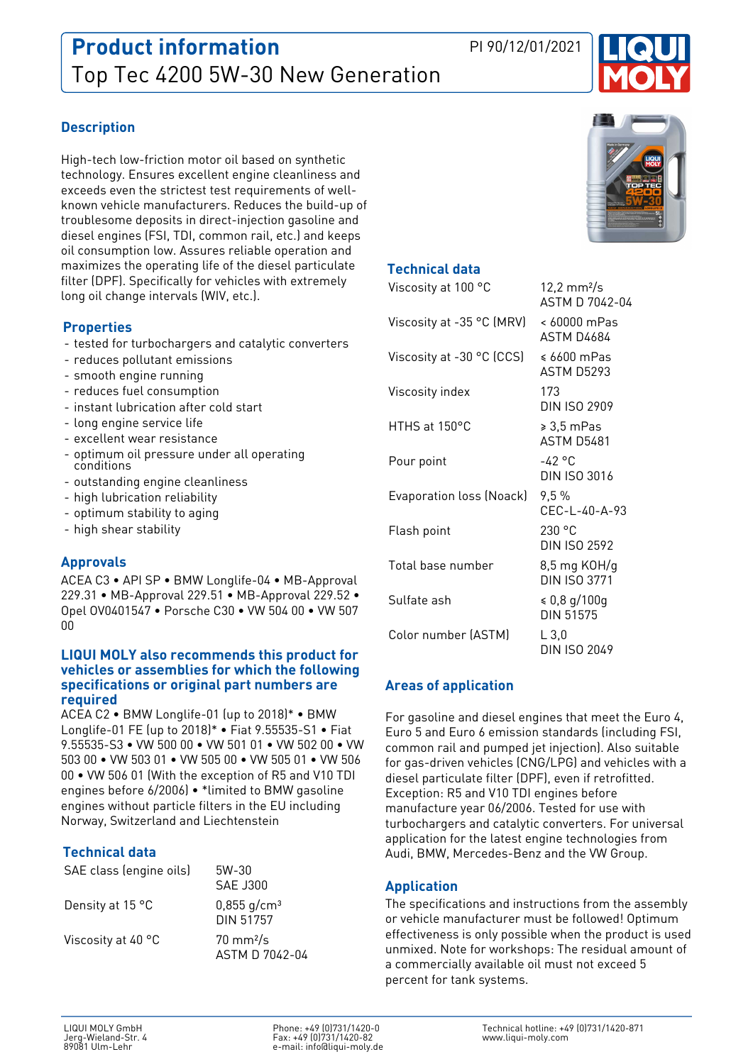

# **Description**

High-tech low-friction motor oil based on synthetic technology. Ensures excellent engine cleanliness and exceeds even the strictest test requirements of wellknown vehicle manufacturers. Reduces the build-up of troublesome deposits in direct-injection gasoline and diesel engines (FSI, TDI, common rail, etc.) and keeps oil consumption low. Assures reliable operation and maximizes the operating life of the diesel particulate filter (DPF). Specifically for vehicles with extremely long oil change intervals (WIV, etc.).

### **Properties**

- tested for turbochargers and catalytic converters
- reduces pollutant emissions
- smooth engine running
- reduces fuel consumption
- instant lubrication after cold start
- long engine service life
- excellent wear resistance
- optimum oil pressure under all operating conditions
- outstanding engine cleanliness
- high lubrication reliability
- optimum stability to aging
- high shear stability

#### **Approvals**

ACEA C3 • API SP • BMW Longlife-04 • MB-Approval 229.31 • MB-Approval 229.51 • MB-Approval 229.52 • Opel OV0401547 • Porsche C30 • VW 504 00 • VW 507  $0<sub>0</sub>$ 

#### **LIQUI MOLY also recommends this product for vehicles or assemblies for which the following specifications or original part numbers are required**

ACEA C2 • BMW Longlife-01 (up to 2018)\* • BMW Longlife-01 FE (up to 2018)\* • Fiat 9.55535-S1 • Fiat 9.55535-S3 • VW 500 00 • VW 501 01 • VW 502 00 • VW 503 00 • VW 503 01 • VW 505 00 • VW 505 01 • VW 506 00 • VW 506 01 (With the exception of R5 and V10 TDI engines before 6/2006) • \*limited to BMW gasoline engines without particle filters in the EU including Norway, Switzerland and Liechtenstein

# **Technical data**

| SAE class (engine oils) | 5W-30<br><b>SAF J300</b>               |
|-------------------------|----------------------------------------|
| Density at 15 °C        | $0,855$ g/cm <sup>3</sup><br>DIN 51757 |
| Viscosity at 40 °C      | $70 \text{ mm}^2$ /s<br>ASTM D 7042-04 |



#### **Technical data**

| Viscosity at 100 °C       | $12,2 \text{ mm}^2/\text{s}$<br>ASTM D 7042-04 |
|---------------------------|------------------------------------------------|
| Viscosity at -35 °C (MRV) | < 60000 mPas<br><b>ASTM D4684</b>              |
| Viscosity at -30 °C (CCS) | ≤ 6600 mPas<br>ASTM D5293                      |
| Viscosity index           | 173<br><b>DIN ISO 2909</b>                     |
| HTHS at 150°C             | $\geqslant 3.5$ mPas<br><b>ASTM D5481</b>      |
| Pour point                | $-42$ °C<br><b>DIN ISO 3016</b>                |
| Evaporation loss (Noack)  | 9,5%<br>CEC-L-40-A-93                          |
| Flash point               | 230 °C<br><b>DIN ISO 2592</b>                  |
| Total base number         | 8,5 mg KOH/g<br><b>DIN ISO 3771</b>            |
| Sulfate ash               | $\le 0.8$ g/100g<br><b>DIN 51575</b>           |
| Color number (ASTM)       | L3.0<br>DIN ISO 2049                           |

#### **Areas of application**

For gasoline and diesel engines that meet the Euro 4, Euro 5 and Euro 6 emission standards (including FSI, common rail and pumped jet injection). Also suitable for gas-driven vehicles (CNG/LPG) and vehicles with a diesel particulate filter (DPF), even if retrofitted. Exception: R5 and V10 TDI engines before manufacture year 06/2006. Tested for use with turbochargers and catalytic converters. For universal application for the latest engine technologies from Audi, BMW, Mercedes-Benz and the VW Group.

# **Application**

The specifications and instructions from the assembly or vehicle manufacturer must be followed! Optimum effectiveness is only possible when the product is used unmixed. Note for workshops: The residual amount of a commercially available oil must not exceed 5 percent for tank systems.